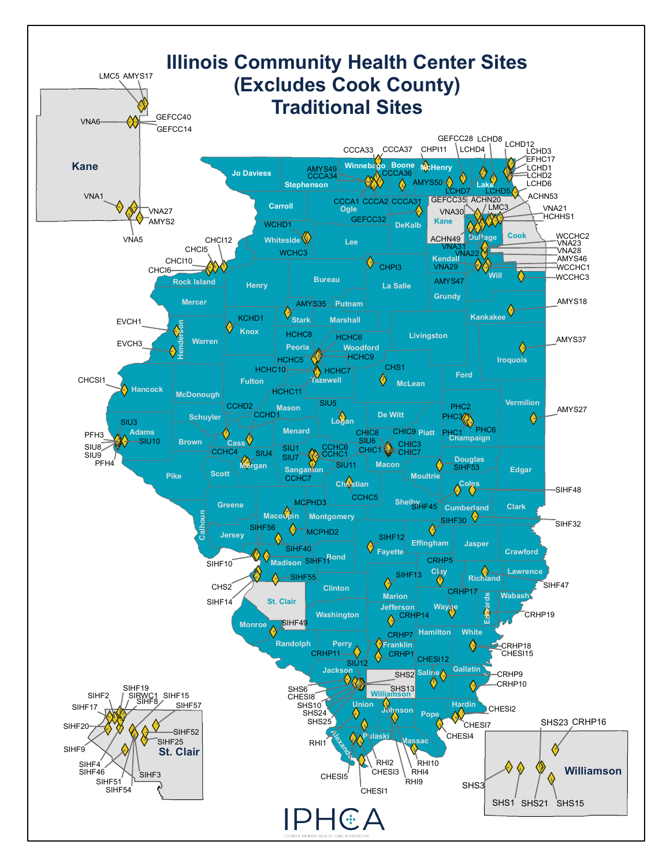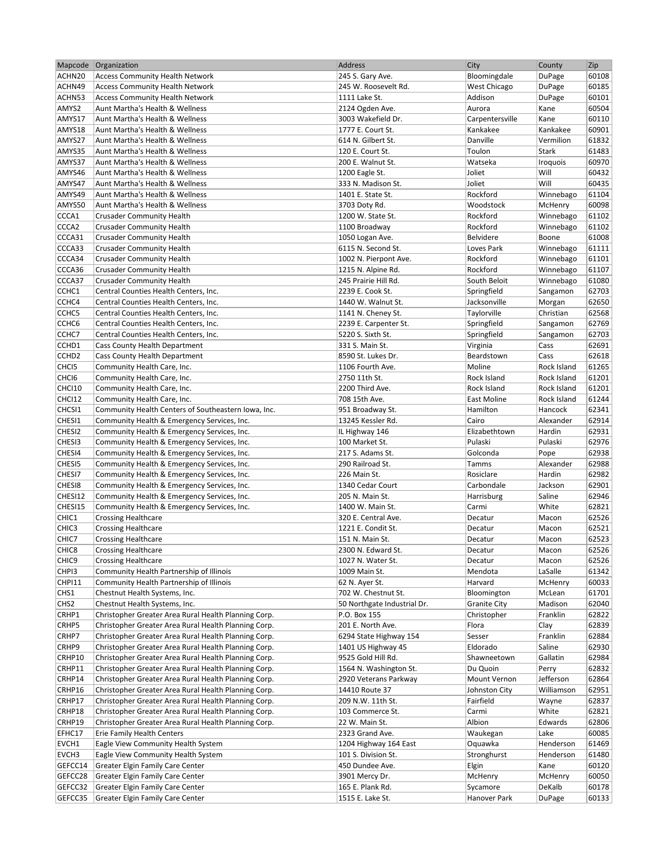|                   | Mapcode Organization                                 | Address                     | City                | County      | Zip   |
|-------------------|------------------------------------------------------|-----------------------------|---------------------|-------------|-------|
| ACHN20            | <b>Access Community Health Network</b>               | 245 S. Gary Ave.            | Bloomingdale        | DuPage      | 60108 |
| ACHN49            | <b>Access Community Health Network</b>               | 245 W. Roosevelt Rd.        | West Chicago        | DuPage      | 60185 |
| ACHN53            | <b>Access Community Health Network</b>               | 1111 Lake St.               | Addison             | DuPage      | 60101 |
| AMYS2             | Aunt Martha's Health & Wellness                      | 2124 Ogden Ave.             | Aurora              | Kane        | 60504 |
| AMYS17            | Aunt Martha's Health & Wellness                      | 3003 Wakefield Dr.          | Carpentersville     | Kane        | 60110 |
| AMYS18            | Aunt Martha's Health & Wellness                      | 1777 E. Court St.           | Kankakee            | Kankakee    | 60901 |
| AMYS27            | Aunt Martha's Health & Wellness                      | 614 N. Gilbert St.          | Danville            | Vermilion   | 61832 |
| AMYS35            | Aunt Martha's Health & Wellness                      | 120 E. Court St.            | Toulon              | Stark       | 61483 |
|                   |                                                      |                             |                     |             |       |
| AMYS37            | Aunt Martha's Health & Wellness                      | 200 E. Walnut St.           | Watseka             | Iroquois    | 60970 |
| AMYS46            | Aunt Martha's Health & Wellness                      | 1200 Eagle St.              | Joliet              | Will        | 60432 |
| AMYS47            | Aunt Martha's Health & Wellness                      | 333 N. Madison St.          | Joliet              | Will        | 60435 |
| AMYS49            | Aunt Martha's Health & Wellness                      | 1401 E. State St.           | Rockford            | Winnebago   | 61104 |
| AMYS50            | Aunt Martha's Health & Wellness                      | 3703 Doty Rd.               | Woodstock           | McHenry     | 60098 |
| CCCA1             | <b>Crusader Community Health</b>                     | 1200 W. State St.           | Rockford            | Winnebago   | 61102 |
| CCCA <sub>2</sub> | <b>Crusader Community Health</b>                     | 1100 Broadway               | Rockford            | Winnebago   | 61102 |
| CCCA31            | <b>Crusader Community Health</b>                     | 1050 Logan Ave.             | Belvidere           | Boone       | 61008 |
| CCCA33            | <b>Crusader Community Health</b>                     | 6115 N. Second St.          | Loves Park          | Winnebago   | 61111 |
| CCCA34            | <b>Crusader Community Health</b>                     | 1002 N. Pierpont Ave.       | Rockford            | Winnebago   | 61101 |
| CCCA36            | <b>Crusader Community Health</b>                     | 1215 N. Alpine Rd.          | Rockford            | Winnebago   | 61107 |
| CCCA37            | <b>Crusader Community Health</b>                     | 245 Prairie Hill Rd.        | South Beloit        | Winnebago   | 61080 |
| CCHC1             | Central Counties Health Centers, Inc.                | 2239 E. Cook St.            | Springfield         | Sangamon    | 62703 |
| CCHC4             | Central Counties Health Centers, Inc.                | 1440 W. Walnut St.          | Jacksonville        | Morgan      | 62650 |
| CCHC <sub>5</sub> | Central Counties Health Centers, Inc.                | 1141 N. Cheney St.          | Taylorville         | Christian   | 62568 |
| CCHC <sub>6</sub> |                                                      |                             |                     |             | 62769 |
|                   | Central Counties Health Centers, Inc.                | 2239 E. Carpenter St.       | Springfield         | Sangamon    |       |
| CCHC7             | Central Counties Health Centers, Inc.                | 5220 S. Sixth St.           | Springfield         | Sangamon    | 62703 |
| CCHD1             | Cass County Health Department                        | 331 S. Main St.             | Virginia            | Cass        | 62691 |
| CCHD <sub>2</sub> | Cass County Health Department                        | 8590 St. Lukes Dr.          | Beardstown          | Cass        | 62618 |
| CHC <sub>15</sub> | Community Health Care, Inc.                          | 1106 Fourth Ave.            | Moline              | Rock Island | 61265 |
| CHCI <sub>6</sub> | Community Health Care, Inc.                          | 2750 11th St.               | Rock Island         | Rock Island | 61201 |
| CHCI10            | Community Health Care, Inc.                          | 2200 Third Ave.             | Rock Island         | Rock Island | 61201 |
| CHCI12            | Community Health Care, Inc.                          | 708 15th Ave.               | East Moline         | Rock Island | 61244 |
| CHCSI1            | Community Health Centers of Southeastern Iowa, Inc.  | 951 Broadway St.            | Hamilton            | Hancock     | 62341 |
| CHESI1            | Community Health & Emergency Services, Inc.          | 13245 Kessler Rd.           | Cairo               | Alexander   | 62914 |
| CHESI2            | Community Health & Emergency Services, Inc.          | IL Highway 146              | Elizabethtown       | Hardin      | 62931 |
| CHESI3            | Community Health & Emergency Services, Inc.          | 100 Market St.              | Pulaski             | Pulaski     | 62976 |
| CHESI4            | Community Health & Emergency Services, Inc.          | 217 S. Adams St.            | Golconda            | Pope        | 62938 |
| CHESI5            | Community Health & Emergency Services, Inc.          | 290 Railroad St.            | Tamms               | Alexander   | 62988 |
| CHESI7            | Community Health & Emergency Services, Inc.          | 226 Main St.                | Rosiclare           | Hardin      | 62982 |
| CHESI8            | Community Health & Emergency Services, Inc.          | 1340 Cedar Court            | Carbondale          | Jackson     | 62901 |
| CHESI12           |                                                      |                             |                     |             | 62946 |
|                   | Community Health & Emergency Services, Inc.          | 205 N. Main St.             | Harrisburg          | Saline      |       |
| CHESI15           | Community Health & Emergency Services, Inc.          | 1400 W. Main St.            | Carmi               | White       | 62821 |
| CHIC1             | <b>Crossing Healthcare</b>                           | 320 E. Central Ave.         | Decatur             | Macon       | 62526 |
| CHIC <sub>3</sub> | <b>Crossing Healthcare</b>                           | 1221 E. Condit St.          | Decatur             | Macon       | 62521 |
| CHIC7             | <b>Crossing Healthcare</b>                           | 151 N. Main St.             | Decatur             | Macon       | 62523 |
| CHIC <sub>8</sub> | <b>Crossing Healthcare</b>                           | 2300 N. Edward St.          | Decatur             | Macon       | 62526 |
| CHIC <sub>9</sub> | <b>Crossing Healthcare</b>                           | 1027 N. Water St.           | Decatur             | Macon       | 62526 |
| CHPI3             | Community Health Partnership of Illinois             | 1009 Main St.               | Mendota             | LaSalle     | 61342 |
| CHPI11            | Community Health Partnership of Illinois             | 62 N. Ayer St.              | Harvard             | McHenry     | 60033 |
| CHS1              | Chestnut Health Systems, Inc.                        | 702 W. Chestnut St.         | Bloomington         | McLean      | 61701 |
| CHS <sub>2</sub>  | Chestnut Health Systems, Inc.                        | 50 Northgate Industrial Dr. | <b>Granite City</b> | Madison     | 62040 |
| CRHP1             | Christopher Greater Area Rural Health Planning Corp. | P.O. Box 155                | Christopher         | Franklin    | 62822 |
| CRHP5             | Christopher Greater Area Rural Health Planning Corp. | 201 E. North Ave.           | Flora               | Clay        | 62839 |
| CRHP7             | Christopher Greater Area Rural Health Planning Corp. | 6294 State Highway 154      | Sesser              | Franklin    | 62884 |
| CRHP9             | Christopher Greater Area Rural Health Planning Corp. | 1401 US Highway 45          | Eldorado            | Saline      | 62930 |
| CRHP10            | Christopher Greater Area Rural Health Planning Corp. | 9525 Gold Hill Rd.          | Shawneetown         | Gallatin    | 62984 |
| CRHP11            | Christopher Greater Area Rural Health Planning Corp. | 1564 N. Washington St.      | Du Quoin            | Perry       | 62832 |
|                   |                                                      |                             |                     |             |       |
| CRHP14            | Christopher Greater Area Rural Health Planning Corp. | 2920 Veterans Parkway       | Mount Vernon        | Jefferson   | 62864 |
| CRHP16            | Christopher Greater Area Rural Health Planning Corp. | 14410 Route 37              | Johnston City       | Williamson  | 62951 |
| CRHP17            | Christopher Greater Area Rural Health Planning Corp. | 209 N.W. 11th St.           | Fairfield           | Wayne       | 62837 |
| CRHP18            | Christopher Greater Area Rural Health Planning Corp. | 103 Commerce St.            | Carmi               | White       | 62821 |
| CRHP19            | Christopher Greater Area Rural Health Planning Corp. | 22 W. Main St.              | Albion              | Edwards     | 62806 |
| EFHC17            | Erie Family Health Centers                           | 2323 Grand Ave.             | Waukegan            | Lake        | 60085 |
| EVCH1             | Eagle View Community Health System                   | 1204 Highway 164 East       | Oquawka             | Henderson   | 61469 |
| EVCH3             | Eagle View Community Health System                   | 101 S. Division St.         | Stronghurst         | Henderson   | 61480 |
| GEFCC14           | Greater Elgin Family Care Center                     | 450 Dundee Ave.             | Elgin               | Kane        | 60120 |
| GEFCC28           | Greater Elgin Family Care Center                     | 3901 Mercy Dr.              | McHenry             | McHenry     | 60050 |
| GEFCC32           | Greater Elgin Family Care Center                     | 165 E. Plank Rd.            | Sycamore            | DeKalb      | 60178 |
| GEFCC35           | Greater Elgin Family Care Center                     | 1515 E. Lake St.            | Hanover Park        | DuPage      | 60133 |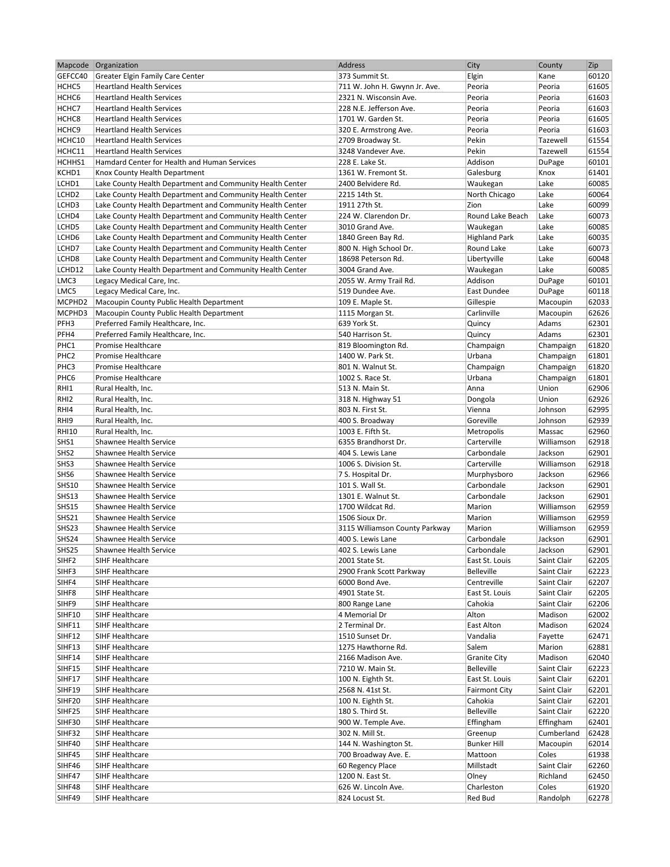|                       | Mapcode Organization                                      | Address                            | City                 | County                   | Zip            |
|-----------------------|-----------------------------------------------------------|------------------------------------|----------------------|--------------------------|----------------|
| GEFCC40               | Greater Elgin Family Care Center                          | 373 Summit St.                     | Elgin                | Kane                     | 60120          |
| HCHC5                 | <b>Heartland Health Services</b>                          | 711 W. John H. Gwynn Jr. Ave.      | Peoria               | Peoria                   | 61605          |
| HCHC <sub>6</sub>     | <b>Heartland Health Services</b>                          | 2321 N. Wisconsin Ave.             | Peoria               | Peoria                   | 61603          |
| HCHC7                 | <b>Heartland Health Services</b>                          | 228 N.E. Jefferson Ave.            | Peoria               | Peoria                   | 61603          |
| HCHC <sub>8</sub>     | <b>Heartland Health Services</b>                          | 1701 W. Garden St.                 | Peoria               | Peoria                   | 61605          |
| HCHC <sub>9</sub>     | <b>Heartland Health Services</b>                          | 320 E. Armstrong Ave.              | Peoria               | Peoria                   | 61603          |
| HCHC10                | <b>Heartland Health Services</b>                          | 2709 Broadway St.                  | Pekin                | Tazewell                 | 61554          |
| HCHC11                | <b>Heartland Health Services</b>                          | 3248 Vandever Ave.                 | Pekin                | Tazewell                 | 61554          |
| HCHHS1                | Hamdard Center for Health and Human Services              | 228 E. Lake St.                    | Addison              | DuPage                   | 60101          |
| KCHD1                 | Knox County Health Department                             | 1361 W. Fremont St.                | Galesburg            | Knox                     | 61401          |
| LCHD1                 | Lake County Health Department and Community Health Center | 2400 Belvidere Rd.                 | Waukegan             | Lake                     | 60085          |
| LCHD <sub>2</sub>     | Lake County Health Department and Community Health Center | 2215 14th St.                      | North Chicago        | Lake                     | 60064          |
| LCHD3                 | Lake County Health Department and Community Health Center | 1911 27th St.                      | Zion                 | Lake                     | 60099          |
| LCHD4                 | Lake County Health Department and Community Health Center | 224 W. Clarendon Dr.               | Round Lake Beach     | Lake                     | 60073          |
| LCHD5                 | Lake County Health Department and Community Health Center | 3010 Grand Ave.                    | Waukegan             | Lake                     | 60085          |
| LCHD6                 | Lake County Health Department and Community Health Center | 1840 Green Bay Rd.                 | <b>Highland Park</b> | Lake                     | 60035          |
| LCHD7                 | Lake County Health Department and Community Health Center | 800 N. High School Dr.             | Round Lake           | Lake                     | 60073          |
| LCHD8                 | Lake County Health Department and Community Health Center | 18698 Peterson Rd.                 | Libertyville         | Lake                     | 60048          |
| LCHD12                | Lake County Health Department and Community Health Center | 3004 Grand Ave.                    | Waukegan             | Lake                     | 60085          |
| LMC3                  | Legacy Medical Care, Inc.                                 | 2055 W. Army Trail Rd.             | Addison              | DuPage                   | 60101          |
| LMC5                  | Legacy Medical Care, Inc.                                 | 519 Dundee Ave.                    | East Dundee          | DuPage                   | 60118          |
| MCPHD2                | Macoupin County Public Health Department                  | 109 E. Maple St.                   | Gillespie            | Macoupin                 | 62033          |
| MCPHD3                | Macoupin County Public Health Department                  | 1115 Morgan St.                    | Carlinville          | Macoupin                 | 62626          |
| PFH3                  | Preferred Family Healthcare, Inc.                         | 639 York St.                       | Quincy               | Adams                    | 62301          |
| PFH4                  | Preferred Family Healthcare, Inc.                         | 540 Harrison St.                   | Quincy               | Adams                    | 62301          |
| PHC1                  | Promise Healthcare                                        | 819 Bloomington Rd.                | Champaign            | Champaign                | 61820          |
| PHC <sub>2</sub>      | Promise Healthcare                                        | 1400 W. Park St.                   | Urbana               | Champaign                | 61801          |
| PHC3                  | Promise Healthcare                                        | 801 N. Walnut St.                  | Champaign            | Champaign                | 61820          |
| PHC6                  | Promise Healthcare                                        | 1002 S. Race St.                   | Urbana               | Champaign                | 61801          |
| RHI1                  | Rural Health, Inc.                                        | 513 N. Main St.                    | Anna                 | Union                    | 62906          |
| RHI <sub>2</sub>      | Rural Health, Inc.                                        | 318 N. Highway 51                  | Dongola              | Union                    | 62926          |
| RHI4                  | Rural Health, Inc.                                        | 803 N. First St.                   | Vienna               | Johnson                  | 62995          |
| RHI9                  | Rural Health, Inc.                                        | 400 S. Broadway                    | Goreville            | Johnson                  | 62939          |
| <b>RHI10</b>          | Rural Health, Inc.                                        | 1003 E. Fifth St.                  | Metropolis           | Massac                   | 62960          |
| SHS1                  | Shawnee Health Service                                    | 6355 Brandhorst Dr.                | Carterville          | Williamson               | 62918          |
| SHS <sub>2</sub>      | Shawnee Health Service                                    | 404 S. Lewis Lane                  | Carbondale           | Jackson                  | 62901          |
| SHS3                  | Shawnee Health Service                                    | 1006 S. Division St.               | Carterville          | Williamson               | 62918          |
| SHS <sub>6</sub>      | Shawnee Health Service                                    | 7 S. Hospital Dr.                  | Murphysboro          | Jackson                  | 62966          |
| <b>SHS10</b>          | Shawnee Health Service                                    | 101 S. Wall St.                    | Carbondale           | Jackson                  | 62901          |
| <b>SHS13</b>          | Shawnee Health Service<br>Shawnee Health Service          | 1301 E. Walnut St.                 | Carbondale           | Jackson                  | 62901          |
| <b>SHS15</b><br>SHS21 |                                                           | 1700 Wildcat Rd.<br>1506 Sioux Dr. | Marion<br>Marion     | Williamson<br>Williamson | 62959          |
| SHS23                 | Shawnee Health Service<br>Shawnee Health Service          | 3115 Williamson County Parkway     | Marion               | Williamson               | 62959<br>62959 |
| SHS24                 | Shawnee Health Service                                    | 400 S. Lewis Lane                  | Carbondale           | Jackson                  | 62901          |
| SHS25                 | Shawnee Health Service                                    | 402 S. Lewis Lane                  | Carbondale           | Jackson                  | 62901          |
| SIHF <sub>2</sub>     | SIHF Healthcare                                           | 2001 State St.                     | East St. Louis       | Saint Clair              | 62205          |
| SIHF3                 | SIHF Healthcare                                           | 2900 Frank Scott Parkway           | <b>Belleville</b>    | Saint Clair              | 62223          |
| SIHF4                 | SIHF Healthcare                                           | 6000 Bond Ave.                     | Centreville          | Saint Clair              | 62207          |
| SIHF8                 | SIHF Healthcare                                           | 4901 State St.                     | East St. Louis       | Saint Clair              | 62205          |
| SIHF9                 | SIHF Healthcare                                           | 800 Range Lane                     | Cahokia              | Saint Clair              | 62206          |
| SIHF10                | SIHF Healthcare                                           | 4 Memorial Dr                      | Alton                | Madison                  | 62002          |
| SIHF11                | SIHF Healthcare                                           | 2 Terminal Dr.                     | East Alton           | Madison                  | 62024          |
| SIHF12                | SIHF Healthcare                                           | 1510 Sunset Dr.                    | Vandalia             | Fayette                  | 62471          |
| SIHF13                | SIHF Healthcare                                           | 1275 Hawthorne Rd.                 | Salem                | Marion                   | 62881          |
| SIHF14                | SIHF Healthcare                                           | 2166 Madison Ave.                  | <b>Granite City</b>  | Madison                  | 62040          |
| SIHF15                | SIHF Healthcare                                           | 7210 W. Main St.                   | Belleville           | Saint Clair              | 62223          |
| SIHF17                | SIHF Healthcare                                           | 100 N. Eighth St.                  | East St. Louis       | Saint Clair              | 62201          |
| SIHF19                | SIHF Healthcare                                           | 2568 N. 41st St.                   | <b>Fairmont City</b> | Saint Clair              | 62201          |
| SIHF20                | SIHF Healthcare                                           | 100 N. Eighth St.                  | Cahokia              | Saint Clair              | 62201          |
| SIHF25                | SIHF Healthcare                                           | 180 S. Third St.                   | Belleville           | Saint Clair              | 62220          |
| SIHF30                | SIHF Healthcare                                           | 900 W. Temple Ave.                 | Effingham            | Effingham                | 62401          |
| SIHF32                | SIHF Healthcare                                           | 302 N. Mill St.                    | Greenup              | Cumberland               | 62428          |
| SIHF40                | SIHF Healthcare                                           | 144 N. Washington St.              | <b>Bunker Hill</b>   | Macoupin                 | 62014          |
| SIHF45                | SIHF Healthcare                                           | 700 Broadway Ave. E.               | Mattoon              | Coles                    | 61938          |
| SIHF46                | SIHF Healthcare                                           | 60 Regency Place                   | Millstadt            | Saint Clair              | 62260          |
| SIHF47                | SIHF Healthcare                                           | 1200 N. East St.                   | Olney                | Richland                 | 62450          |
| SIHF48                | SIHF Healthcare                                           | 626 W. Lincoln Ave.                | Charleston           | Coles                    | 61920          |
| SIHF49                | SIHF Healthcare                                           | 824 Locust St.                     | Red Bud              | Randolph                 | 62278          |